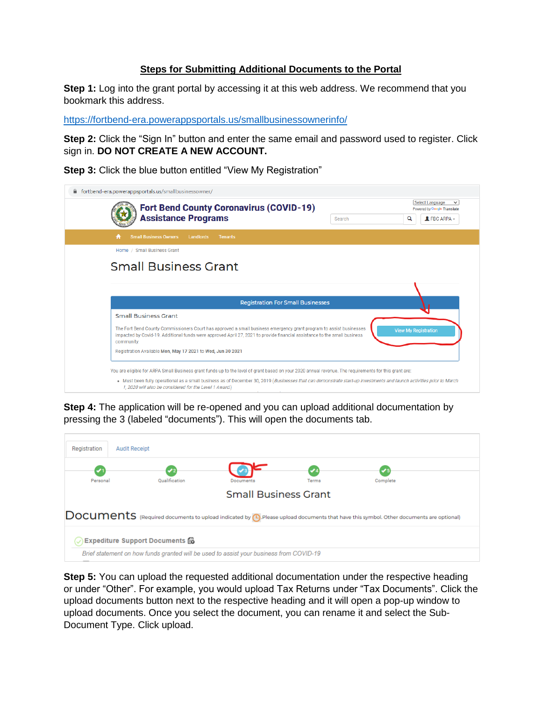## **Steps for Submitting Additional Documents to the Portal**

**Step 1:** Log into the grant portal by accessing it at this web address. We recommend that you bookmark this address.

<https://fortbend-era.powerappsportals.us/smallbusinessownerinfo/>

**Step 2:** Click the "Sign In" button and enter the same email and password used to register. Click sign in. **DO NOT CREATE A NEW ACCOUNT.**

**Step 3:** Click the blue button entitled "View My Registration"

| fortbend-era.powerappsportals.us/smallbusinessowner/                                                                                                                                                                                                                                          |        |                                                                                                   |  |  |
|-----------------------------------------------------------------------------------------------------------------------------------------------------------------------------------------------------------------------------------------------------------------------------------------------|--------|---------------------------------------------------------------------------------------------------|--|--|
| <b>Fort Bend County Coronavirus (COVID-19)</b><br><b>Assistance Programs</b>                                                                                                                                                                                                                  | Search | <b>Select Language</b><br>$\checkmark$<br>Powered by Google Translate<br>Q<br>$R$ FRC ARPA $\sim$ |  |  |
| <b>Small Business Owners</b><br>Landlords<br><b>Tenants</b>                                                                                                                                                                                                                                   |        |                                                                                                   |  |  |
| Home / Small Business Grant                                                                                                                                                                                                                                                                   |        |                                                                                                   |  |  |
| <b>Small Business Grant</b>                                                                                                                                                                                                                                                                   |        |                                                                                                   |  |  |
|                                                                                                                                                                                                                                                                                               |        |                                                                                                   |  |  |
| <b>Registration For Small Businesses</b>                                                                                                                                                                                                                                                      |        |                                                                                                   |  |  |
| <b>Small Business Grant</b>                                                                                                                                                                                                                                                                   |        |                                                                                                   |  |  |
| The Fort Bend County Commissioners Court has approved a small business emergency grant program to assist businesses<br><b>View My Registration</b><br>impacted by Covid-19. Additional funds were approved April 27, 2021 to provide financial assistance to the small business<br>community. |        |                                                                                                   |  |  |
| Registration Available Mon, May 17 2021 to Wed, Jun 30 2021                                                                                                                                                                                                                                   |        |                                                                                                   |  |  |
| You are eligible for ARPA Small Business grant funds up to the level of grant based on your 2020 annual revenue. The requirements for this grant are:                                                                                                                                         |        |                                                                                                   |  |  |
| . Must been fully operational as a small business as of December 30, 2019 (Businesses that can demonstrate start-up investments and launch activities prior to March<br>1, 2020 will also be considered for the Level 1 Award.)                                                               |        |                                                                                                   |  |  |

**Step 4:** The application will be re-opened and you can upload additional documentation by pressing the 3 (labeled "documents"). This will open the documents tab.

| Registration<br><b>Audit Receipt</b>                                                                                                 |                      |           |              |          |  |  |
|--------------------------------------------------------------------------------------------------------------------------------------|----------------------|-----------|--------------|----------|--|--|
| 〃<br>Personal                                                                                                                        | <b>Qualification</b> | Documents | <b>Terms</b> | Complete |  |  |
| <b>Small Business Grant</b>                                                                                                          |                      |           |              |          |  |  |
| DOCUMENTS (Required documents to upload indicated by (D.Please upload documents that have this symbol. Other documents are optional) |                      |           |              |          |  |  |
| $\oslash$ Expediture Support Documents $\bf \odot$                                                                                   |                      |           |              |          |  |  |
| Brief statement on how funds granted will be used to assist your business from COVID-19                                              |                      |           |              |          |  |  |

**Step 5:** You can upload the requested additional documentation under the respective heading or under "Other". For example, you would upload Tax Returns under "Tax Documents". Click the upload documents button next to the respective heading and it will open a pop-up window to upload documents. Once you select the document, you can rename it and select the Sub-Document Type. Click upload.